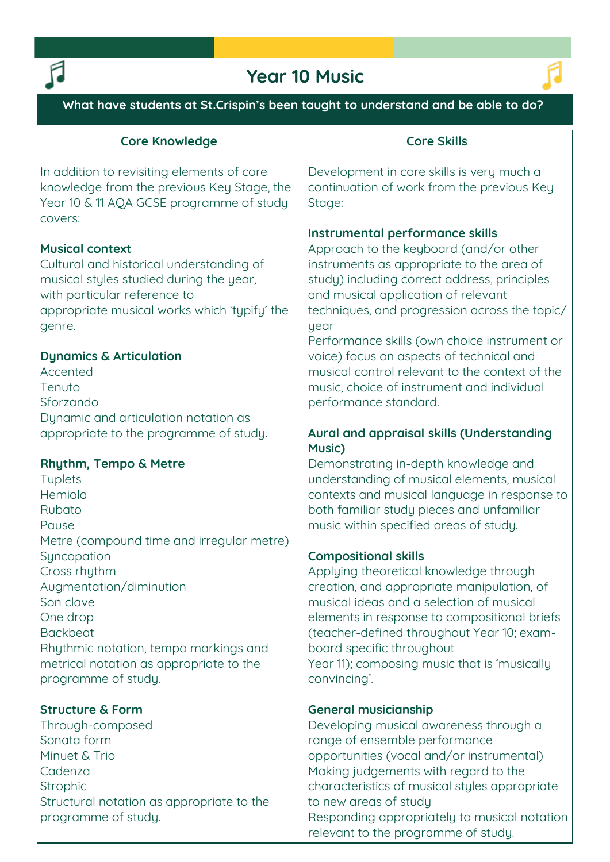

# **Year 10 Music**



**What have students at St.Crispin's been taught to understand and be able to do?**

# **Core Knowledge**

**In addition to revisiting elements of core knowledge from the previous Key Stage, the Year 10 & 11 AQA GCSE programme of study covers:**

# **Musical context**

**Cultural and historical understanding of musical styles studied during the year, with particular reference to appropriate musical works which 'typify' the genre.**

## **Dynamics & Articulation**

**Accented Tenuto Sforzando Dynamic and articulation notation as appropriate to the programme of study.**

# **Rhythm, Tempo & Metre**

**Tuplets Hemiola Rubato Pause Metre (compound time and irregular metre) Syncopation Cross rhythm Augmentation/diminution Son clave One drop Backbeat Rhythmic notation, tempo markings and metrical notation as appropriate to the programme of study.**

# **Structure & Form**

**Through-composed Sonata form Minuet & Trio Cadenza Strophic Structural notation as appropriate to the programme of study.**

# **Core Skills**

**Development in core skills is very much a continuation of work from the previous Key Stage:** 

## **Instrumental performance skills**

**Approach to the keyboard (and/or other instruments as appropriate to the area of study) including correct address, principles and musical application of relevant techniques, and progression across the topic/ year**

**Performance skills (own choice instrument or voice) focus on aspects of technical and musical control relevant to the context of the music, choice of instrument and individual performance standard.**

# **Aural and appraisal skills (Understanding Music)**

**Demonstrating in-depth knowledge and understanding of musical elements, musical contexts and musical language in response to both familiar study pieces and unfamiliar music within specified areas of study.**

## **Compositional skills**

**Applying theoretical knowledge through creation, and appropriate manipulation, of musical ideas and a selection of musical elements in response to compositional briefs (teacher-defined throughout Year 10; examboard specific throughout Year 11); composing music that is 'musically convincing'.**

## **General musicianship**

**Developing musical awareness through a range of ensemble performance opportunities (vocal and/or instrumental) Making judgements with regard to the characteristics of musical styles appropriate to new areas of study Responding appropriately to musical notation relevant to the programme of study.**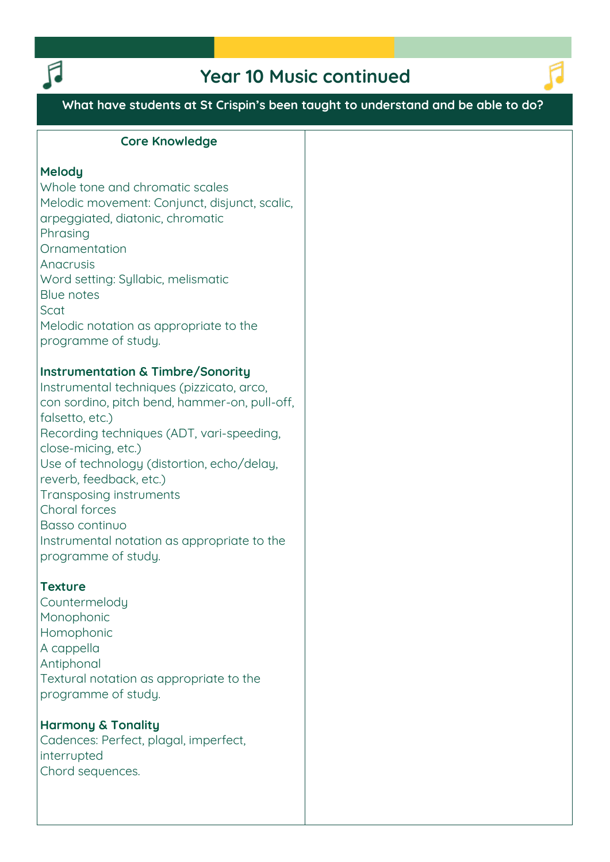

# **Year 10 Music continued**



**What have students at St Crispin's been taught to understand and be able to do?**

#### **Core Knowledge**

#### **Melody**

**Whole tone and chromatic scales Melodic movement: Conjunct, disjunct, scalic, arpeggiated, diatonic, chromatic Phrasing Ornamentation Anacrusis Word setting: Syllabic, melismatic Blue notes Scat Melodic notation as appropriate to the programme of study.**

### **Instrumentation & Timbre/Sonority**

**Instrumental techniques (pizzicato, arco, con sordino, pitch bend, hammer-on, pull-off, falsetto, etc.) Recording techniques (ADT, vari-speeding, close-micing, etc.) Use of technology (distortion, echo/delay, reverb, feedback, etc.) Transposing instruments Choral forces Basso continuo Instrumental notation as appropriate to the programme of study.**

## **Texture**

**Countermelody Monophonic Homophonic A cappella Antiphonal Textural notation as appropriate to the programme of study.**

## **Harmony & Tonality**

**Cadences: Perfect, plagal, imperfect, interrupted Chord sequences.**